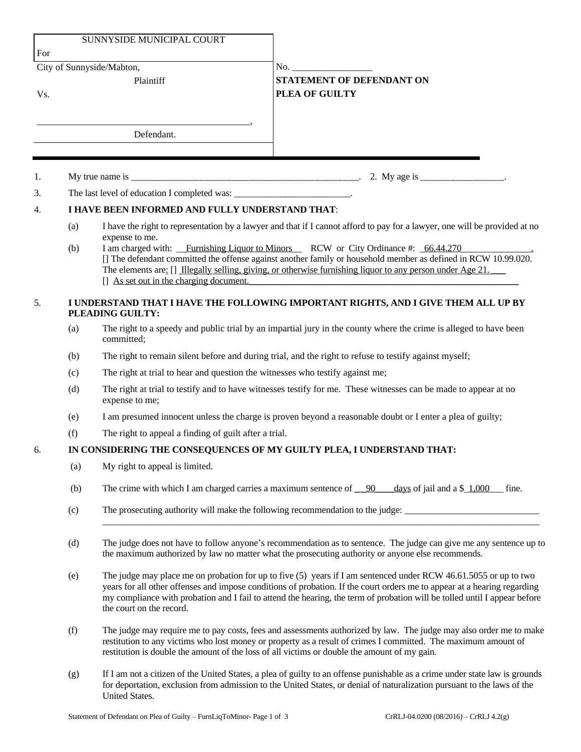|     |                                                                                                        | SUNNYSIDE MUNICIPAL COURT                                                                                                                                                                                                                                                                                                                                                                                                                                                      |                                                                       |  |
|-----|--------------------------------------------------------------------------------------------------------|--------------------------------------------------------------------------------------------------------------------------------------------------------------------------------------------------------------------------------------------------------------------------------------------------------------------------------------------------------------------------------------------------------------------------------------------------------------------------------|-----------------------------------------------------------------------|--|
| For |                                                                                                        |                                                                                                                                                                                                                                                                                                                                                                                                                                                                                |                                                                       |  |
|     |                                                                                                        | City of Sunnyside/Mabton,                                                                                                                                                                                                                                                                                                                                                                                                                                                      | No.                                                                   |  |
| Vs. |                                                                                                        | Plaintiff                                                                                                                                                                                                                                                                                                                                                                                                                                                                      | <b>STATEMENT OF DEFENDANT ON</b><br>PLEA OF GUILTY                    |  |
|     |                                                                                                        | Defendant.                                                                                                                                                                                                                                                                                                                                                                                                                                                                     |                                                                       |  |
|     |                                                                                                        |                                                                                                                                                                                                                                                                                                                                                                                                                                                                                |                                                                       |  |
| 1.  |                                                                                                        |                                                                                                                                                                                                                                                                                                                                                                                                                                                                                | My true name is $\frac{1}{2}$ . My age is $\frac{1}{2}$ .             |  |
| 3.  |                                                                                                        | The last level of education I completed was: __________________________.                                                                                                                                                                                                                                                                                                                                                                                                       |                                                                       |  |
| 4.  | I HAVE BEEN INFORMED AND FULLY UNDERSTAND THAT:                                                        |                                                                                                                                                                                                                                                                                                                                                                                                                                                                                |                                                                       |  |
|     | (a)<br>(b)                                                                                             | I have the right to representation by a lawyer and that if I cannot afford to pay for a lawyer, one will be provided at no<br>expense to me.<br>I am charged with: Furnishing Liquor to Minors RCW or City Ordinance #: 66.44.270<br>[] The defendant committed the offense against another family or household member as defined in RCW 10.99.020.<br>The elements are: $\left[\right]$ Illegally selling, giving, or otherwise furnishing liquor to any person under Age 21. |                                                                       |  |
|     |                                                                                                        | [] As set out in the charging document.                                                                                                                                                                                                                                                                                                                                                                                                                                        |                                                                       |  |
| 5.  | I UNDERSTAND THAT I HAVE THE FOLLOWING IMPORTANT RIGHTS, AND I GIVE THEM ALL UP BY<br>PLEADING GUILTY: |                                                                                                                                                                                                                                                                                                                                                                                                                                                                                |                                                                       |  |
|     | (a)                                                                                                    | The right to a speedy and public trial by an impartial jury in the county where the crime is alleged to have been<br>committed;                                                                                                                                                                                                                                                                                                                                                |                                                                       |  |
|     | (b)                                                                                                    | The right to remain silent before and during trial, and the right to refuse to testify against myself;                                                                                                                                                                                                                                                                                                                                                                         |                                                                       |  |
|     | (c)                                                                                                    | The right at trial to hear and question the witnesses who testify against me;                                                                                                                                                                                                                                                                                                                                                                                                  |                                                                       |  |
|     | (d)                                                                                                    | The right at trial to testify and to have witnesses testify for me. These witnesses can be made to appear at no<br>expense to me;                                                                                                                                                                                                                                                                                                                                              |                                                                       |  |
|     | (e)                                                                                                    | I am presumed innocent unless the charge is proven beyond a reasonable doubt or I enter a plea of guilty;                                                                                                                                                                                                                                                                                                                                                                      |                                                                       |  |
|     | (f)                                                                                                    | The right to appeal a finding of guilt after a trial.                                                                                                                                                                                                                                                                                                                                                                                                                          |                                                                       |  |
| 6.  |                                                                                                        |                                                                                                                                                                                                                                                                                                                                                                                                                                                                                | IN CONSIDERING THE CONSEQUENCES OF MY GUILTY PLEA, I UNDERSTAND THAT: |  |
|     | (a)                                                                                                    | My right to appeal is limited.                                                                                                                                                                                                                                                                                                                                                                                                                                                 |                                                                       |  |
|     | (b)                                                                                                    | The crime with which I am charged carries a maximum sentence of 90<br>days of jail and a $\frac{1,000}{1}$<br>fine.                                                                                                                                                                                                                                                                                                                                                            |                                                                       |  |
|     | (c)                                                                                                    | The prosecuting authority will make the following recommendation to the judge:                                                                                                                                                                                                                                                                                                                                                                                                 |                                                                       |  |
|     | (d)                                                                                                    | The judge does not have to follow anyone's recommendation as to sentence. The judge can give me any sentence up to<br>the maximum authorized by law no matter what the prosecuting authority or anyone else recommends.                                                                                                                                                                                                                                                        |                                                                       |  |
|     | (e)                                                                                                    | The judge may place me on probation for up to five (5) years if I am sentenced under RCW 46.61.5055 or up to two<br>years for all other offenses and impose conditions of probation. If the court orders me to appear at a hearing regarding<br>my compliance with probation and I fail to attend the hearing, the term of probation will be tolled until I appear before<br>the court on the record.                                                                          |                                                                       |  |
|     | (f)                                                                                                    | The judge may require me to pay costs, fees and assessments authorized by law. The judge may also order me to make<br>restitution to any victims who lost money or property as a result of crimes I committed. The maximum amount of<br>restitution is double the amount of the loss of all victims or double the amount of my gain.                                                                                                                                           |                                                                       |  |
|     |                                                                                                        |                                                                                                                                                                                                                                                                                                                                                                                                                                                                                |                                                                       |  |

(g) If I am not a citizen of the United States, a plea of guilty to an offense punishable as a crime under state law is grounds for deportation, exclusion from admission to the United States, or denial of naturalization pursuant to the laws of the United States.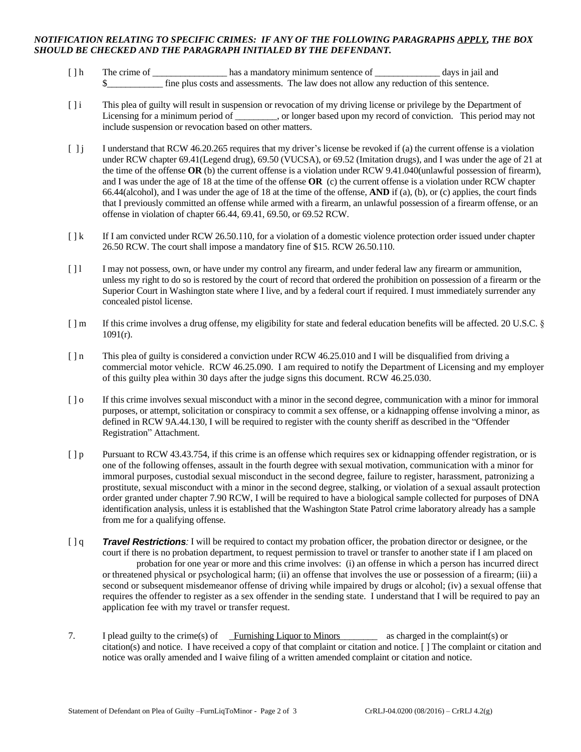## *NOTIFICATION RELATING TO SPECIFIC CRIMES: IF ANY OF THE FOLLOWING PARAGRAPHS APPLY, THE BOX SHOULD BE CHECKED AND THE PARAGRAPH INITIALED BY THE DEFENDANT.*

- [ ] h The crime of \_\_\_\_\_\_\_\_\_\_\_\_\_\_\_\_\_\_\_\_ has a mandatory minimum sentence of \_\_\_\_\_\_\_\_\_\_\_\_\_\_\_\_ days in jail and \$\_\_\_\_\_\_\_\_\_\_\_\_ fine plus costs and assessments. The law does not allow any reduction of this sentence.
- [ ] i This plea of guilty will result in suspension or revocation of my driving license or privilege by the Department of Licensing for a minimum period of \_\_\_\_\_\_\_\_, or longer based upon my record of conviction. This period may not include suspension or revocation based on other matters.
- [ ] j I understand that RCW 46.20.265 requires that my driver's license be revoked if (a) the current offense is a violation under RCW chapter 69.41(Legend drug), 69.50 (VUCSA), or 69.52 (Imitation drugs), and I was under the age of 21 at the time of the offense **OR** (b) the current offense is a violation under RCW 9.41.040(unlawful possession of firearm), and I was under the age of 18 at the time of the offense **OR** (c) the current offense is a violation under RCW chapter 66.44(alcohol), and I was under the age of 18 at the time of the offense, **AND** if (a), (b), or (c) applies, the court finds that I previously committed an offense while armed with a firearm, an unlawful possession of a firearm offense, or an offense in violation of chapter 66.44, 69.41, 69.50, or 69.52 RCW.
- $\lceil \cdot \rceil$  If I am convicted under RCW 26.50.110, for a violation of a domestic violence protection order issued under chapter 26.50 RCW. The court shall impose a mandatory fine of \$15. RCW 26.50.110.
- [ ] l I may not possess, own, or have under my control any firearm, and under federal law any firearm or ammunition, unless my right to do so is restored by the court of record that ordered the prohibition on possession of a firearm or the Superior Court in Washington state where I live, and by a federal court if required. I must immediately surrender any concealed pistol license.
- [ ] m If this crime involves a drug offense, my eligibility for state and federal education benefits will be affected. 20 U.S.C. § 1091(r).
- [  $\ln$  This plea of guilty is considered a conviction under RCW 46.25.010 and I will be disqualified from driving a commercial motor vehicle. RCW 46.25.090. I am required to notify the Department of Licensing and my employer of this guilty plea within 30 days after the judge signs this document. RCW 46.25.030.
- [ ] o If this crime involves sexual misconduct with a minor in the second degree, communication with a minor for immoral purposes, or attempt, solicitation or conspiracy to commit a sex offense, or a kidnapping offense involving a minor, as defined in RCW 9A.44.130, I will be required to register with the county sheriff as described in the "Offender Registration" Attachment.
- [ ] p Pursuant to RCW 43.43.754, if this crime is an offense which requires sex or kidnapping offender registration, or is one of the following offenses, assault in the fourth degree with sexual motivation, communication with a minor for immoral purposes, custodial sexual misconduct in the second degree, failure to register, harassment, patronizing a prostitute, sexual misconduct with a minor in the second degree, stalking, or violation of a sexual assault protection order granted under chapter 7.90 RCW, I will be required to have a biological sample collected for purposes of DNA identification analysis, unless it is established that the Washington State Patrol crime laboratory already has a sample from me for a qualifying offense.
- [ ] q *Travel Restrictions:* I will be required to contact my probation officer, the probation director or designee, or the court if there is no probation department, to request permission to travel or transfer to another state if I am placed on probation for one year or more and this crime involves: (i) an offense in which a person has incurred direct or threatened physical or psychological harm; (ii) an offense that involves the use or possession of a firearm; (iii) a second or subsequent misdemeanor offense of driving while impaired by drugs or alcohol; (iv) a sexual offense that requires the offender to register as a sex offender in the sending state. I understand that I will be required to pay an application fee with my travel or transfer request.
- 7. I plead guilty to the crime(s) of Furnishing Liquor to Minors as charged in the complaint(s) or citation(s) and notice. I have received a copy of that complaint or citation and notice. [ ] The complaint or citation and notice was orally amended and I waive filing of a written amended complaint or citation and notice.